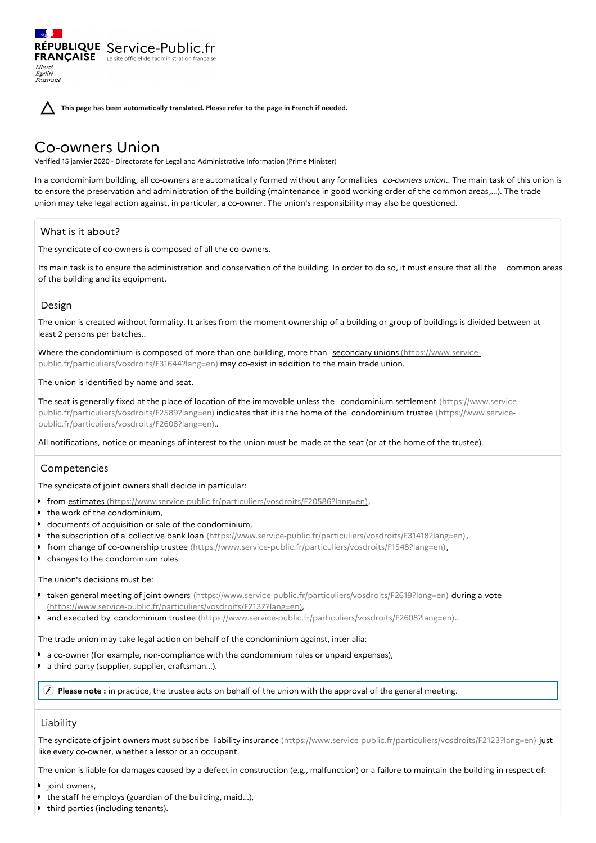**This page has been automatically translated. Please refer to the page in French if needed.**

# Co-owners Union

RÉPUBLIQUE Service-Public.fr **FRANÇAISE** Le site officiel de l'administration fran

Verified 15 janvier 2020 - Directorate for Legal and Administrative Information (Prime Minister)

In a condominium building, all co-owners are automatically formed without any formalities co-owners union.. The main task of this union is to ensure the preservation and administration of the building (maintenance in good working order of the common areas,...). The trade union may take legal action against, in particular, a co-owner. The union's responsibility may also be questioned.

## What is it about?

The syndicate of co-owners is composed of all the co-owners.

Its main task is to ensure the administration and conservation of the building. In order to do so, it must ensure that all the common areas of the building and its equipment.

## Design

Liberté Égalité Fraternité

The union is created without formality. It arises from the moment ownership of a building or group of buildings is divided between at least 2 persons per batches..

Where the condominium is composed of more than one building, more than secondary unions (https://www.service[public.fr/particuliers/vosdroits/F31644?lang=en\)](https://www.service-public.fr/particuliers/vosdroits/F31644?lang=en) may co-exist in addition to the main trade union.

The union is identified by name and seat.

The seat is generally fixed at the place of location of the immovable unless the condominium settlement (https://www.service[public.fr/particuliers/vosdroits/F2589?lang=en\)](https://www.service-public.fr/particuliers/vosdroits/F2589?lang=en) indicates that it is the home of the condominium trustee (https://www.service[public.fr/particuliers/vosdroits/F2608?lang=en\)..](https://www.service-public.fr/particuliers/vosdroits/F2608?lang=en)

All notifications, notice or meanings of interest to the union must be made at the seat (or at the home of the trustee).

## Competencies

The syndicate of joint owners shall decide in particular:

- **from estimates** [\(https://www.service-public.fr/particuliers/vosdroits/F20586?lang=en\)](https://www.service-public.fr/particuliers/vosdroits/F20586?lang=en),
- the work of the condominium,
- documents of acquisition or sale of the condominium,
- the subscription of a collective bank loan [\(https://www.service-public.fr/particuliers/vosdroits/F31418?lang=en\)](https://www.service-public.fr/particuliers/vosdroits/F31418?lang=en),
- **from change of co-ownership trustee** [\(https://www.service-public.fr/particuliers/vosdroits/F1548?lang=en\)](https://www.service-public.fr/particuliers/vosdroits/F1548?lang=en),
- changes to the condominium rules.

#### The union's decisions must be:

- taken general meeting of joint owners [\(https://www.service-public.fr/particuliers/vosdroits/F2619?lang=en\)](https://www.service-public.fr/particuliers/vosdroits/F2619?lang=en) during a vote (https://www.service-public.fr/particuliers/vosdroits/F2137?lang=en),
- and executed by condominium trustee [\(https://www.service-public.fr/particuliers/vosdroits/F2608?lang=en\)](https://www.service-public.fr/particuliers/vosdroits/F2608?lang=en)..

The trade union may take legal action on behalf of the condominium against, inter alia:

- a co-owner (for example, non-compliance with the condominium rules or unpaid expenses),
- $\ddot{\phantom{a}}$ a third party (supplier, supplier, craftsman...).

**Please note :** in practice, the trustee acts on behalf of the union with the approval of the general meeting.

## **Liability**

The syndicate of joint owners must subscribe liability insurance [\(https://www.service-public.fr/particuliers/vosdroits/F2123?lang=en\)](https://www.service-public.fr/particuliers/vosdroits/F2123?lang=en) just like every co-owner, whether a lessor or an occupant.

The union is liable for damages caused by a defect in construction (e.g., malfunction) or a failure to maintain the building in respect of:

- $\bullet$ joint owners,
- the staff he employs (guardian of the building, maid...),
- third parties (including tenants).